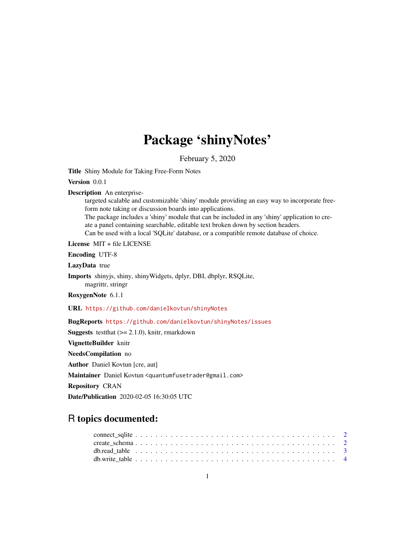## Package 'shinyNotes'

February 5, 2020

<span id="page-0-0"></span>Title Shiny Module for Taking Free-Form Notes

Version 0.0.1

Description An enterprise-

targeted scalable and customizable 'shiny' module providing an easy way to incorporate freeform note taking or discussion boards into applications.

The package includes a 'shiny' module that can be included in any 'shiny' application to create a panel containing searchable, editable text broken down by section headers.

Can be used with a local 'SQLite' database, or a compatible remote database of choice.

License MIT + file LICENSE

Encoding UTF-8

LazyData true

Imports shinyjs, shiny, shinyWidgets, dplyr, DBI, dbplyr, RSQLite, magrittr, stringr

RoxygenNote 6.1.1

URL <https://github.com/danielkovtun/shinyNotes>

BugReports <https://github.com/danielkovtun/shinyNotes/issues>

**Suggests** testthat  $(>= 2.1.0)$ , knitr, rmarkdown

VignetteBuilder knitr

NeedsCompilation no

Author Daniel Kovtun [cre, aut]

Maintainer Daniel Kovtun <quantumfusetrader@gmail.com>

Repository CRAN

Date/Publication 2020-02-05 16:30:05 UTC

## R topics documented: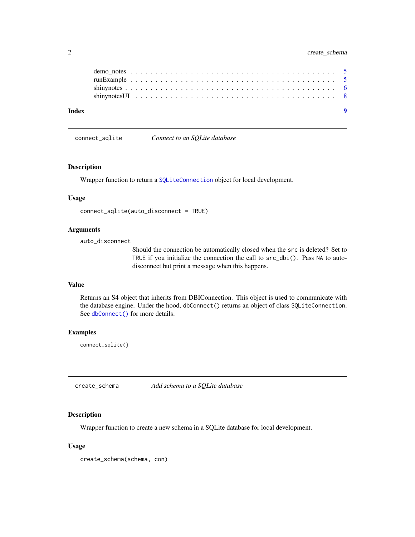<span id="page-1-0"></span>

| Index |  |  |  |  |  |  |  |  |  |  |  |  |  |  |  |  |  |  |  |
|-------|--|--|--|--|--|--|--|--|--|--|--|--|--|--|--|--|--|--|--|
|       |  |  |  |  |  |  |  |  |  |  |  |  |  |  |  |  |  |  |  |
|       |  |  |  |  |  |  |  |  |  |  |  |  |  |  |  |  |  |  |  |
|       |  |  |  |  |  |  |  |  |  |  |  |  |  |  |  |  |  |  |  |
|       |  |  |  |  |  |  |  |  |  |  |  |  |  |  |  |  |  |  |  |

connect\_sqlite *Connect to an SQLite database*

#### Description

Wrapper function to return a [SQLiteConnection](#page-0-0) object for local development.

#### Usage

```
connect_sqlite(auto_disconnect = TRUE)
```
#### Arguments

auto\_disconnect

Should the connection be automatically closed when the src is deleted? Set to TRUE if you initialize the connection the call to src\_dbi(). Pass NA to autodisconnect but print a message when this happens.

#### Value

Returns an S4 object that inherits from DBIConnection. This object is used to communicate with the database engine. Under the hood, dbConnect() returns an object of class SQLiteConnection. See [dbConnect\(\)](#page-0-0) for more details.

#### Examples

connect\_sqlite()

create\_schema *Add schema to a SQLite database*

#### Description

Wrapper function to create a new schema in a SQLite database for local development.

#### Usage

```
create_schema(schema, con)
```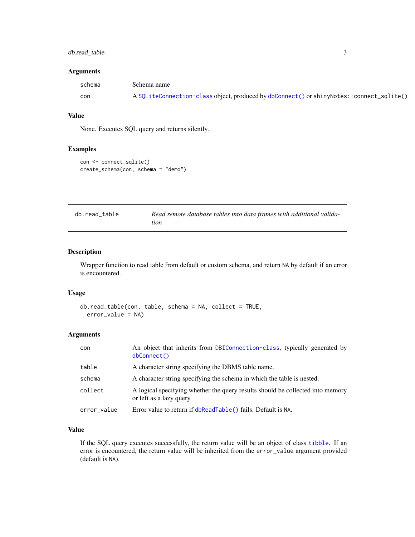#### <span id="page-2-0"></span>db.read\_table 3

#### Arguments

| schema | Schema name                                                                              |
|--------|------------------------------------------------------------------------------------------|
| con    | A SQLiteConnection-class object, produced by dbConnect() or shinyNotes::connect_sqlite() |

#### Value

None. Executes SQL query and returns silently.

#### Examples

```
con <- connect_sqlite()
create_schema(con, schema = "demo")
```

| db.read table | Read remote database tables into data frames with additional valida- |
|---------------|----------------------------------------------------------------------|
|               | tion                                                                 |

#### Description

Wrapper function to read table from default or custom schema, and return NA by default if an error is encountered.

#### Usage

```
db.read_table(con, table, schema = NA, collect = TRUE,
 error_value = NA)
```
#### Arguments

| con         | An object that inherits from DBIConnection-class, typically generated by<br>dbConnect()                    |
|-------------|------------------------------------------------------------------------------------------------------------|
| table       | A character string specifying the DBMS table name.                                                         |
| schema      | A character string specifying the schema in which the table is nested.                                     |
| collect     | A logical specifying whether the query results should be collected into memory<br>or left as a lazy query. |
| error_value | Error value to return if dbReadTable() fails. Default is NA.                                               |

#### Value

If the SQL query executes successfully, the return value will be an object of class [tibble](#page-0-0). If an error is encountered, the return value will be inherited from the error\_value argument provided (default is NA).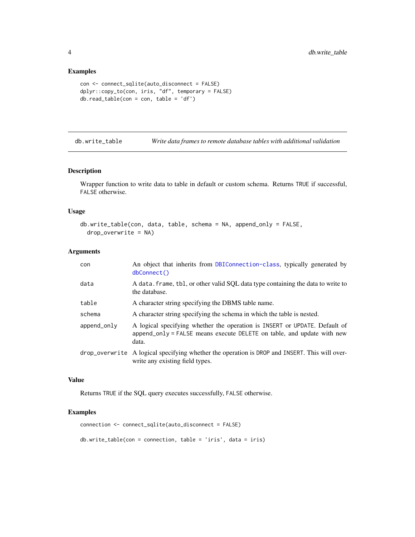#### Examples

```
con <- connect_sqlite(auto_disconnect = FALSE)
dplyr::copy_to(con, iris, "df", temporary = FALSE)
db.read_table(con = con, table = 'df')
```
db.write\_table *Write data frames to remote database tables with additional validation*

#### Description

Wrapper function to write data to table in default or custom schema. Returns TRUE if successful, FALSE otherwise.

#### Usage

```
db.write_table(con, data, table, schema = NA, append_only = FALSE,
  drop_overwrite = NA)
```
#### Arguments

| con         | An object that inherits from DBIConnection-class, typically generated by<br>dbConnect()                                                                       |
|-------------|---------------------------------------------------------------------------------------------------------------------------------------------------------------|
| data        | A data. frame, tbl, or other valid SQL data type containing the data to write to<br>the database.                                                             |
| table       | A character string specifying the DBMS table name.                                                                                                            |
| schema      | A character string specifying the schema in which the table is nested.                                                                                        |
| append_only | A logical specifying whether the operation is INSERT or UPDATE. Default of<br>append_only = FALSE means execute DELETE on table, and update with new<br>data. |
|             | drop_overwrite A logical specifying whether the operation is DROP and INSERT. This will over-<br>write any existing field types.                              |

### Value

Returns TRUE if the SQL query executes successfully, FALSE otherwise.

#### Examples

```
connection <- connect_sqlite(auto_disconnect = FALSE)
db.write_table(con = connection, table = 'iris', data = iris)
```
<span id="page-3-0"></span>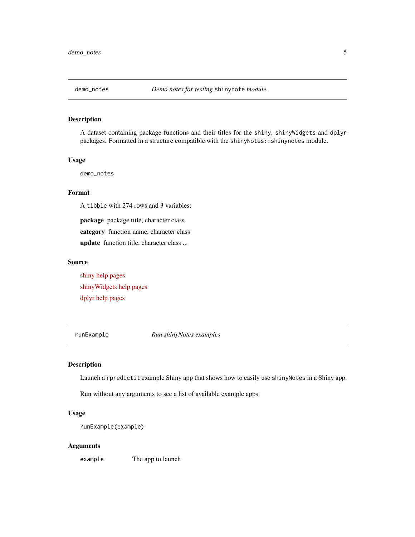<span id="page-4-0"></span>

#### Description

A dataset containing package functions and their titles for the shiny, shinyWidgets and dplyr packages. Formatted in a structure compatible with the shinyNotes::shinynotes module.

#### Usage

demo\_notes

#### Format

A tibble with 274 rows and 3 variables:

package package title, character class category function name, character class update function title, character class ...

#### Source

[shiny help pages](https://CRAN.R-project.org/package=shiny) [shinyWidgets help pages](https://CRAN.R-project.org/package=shinyWidgets) [dplyr help pages](https://CRAN.R-project.org/package=dplyr)

runExample *Run shinyNotes examples*

#### Description

Launch a rpredictit example Shiny app that shows how to easily use shinyNotes in a Shiny app.

Run without any arguments to see a list of available example apps.

#### Usage

```
runExample(example)
```
#### Arguments

example The app to launch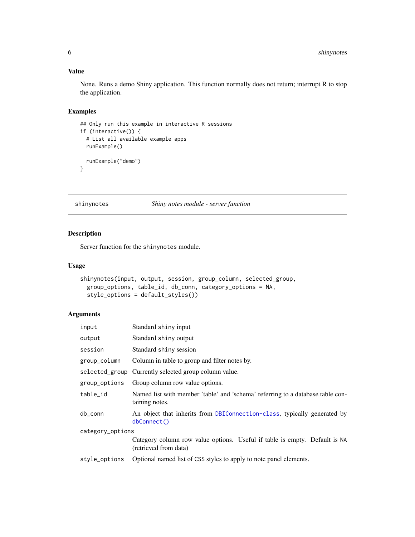### <span id="page-5-0"></span>Value

None. Runs a demo Shiny application. This function normally does not return; interrupt R to stop the application.

#### Examples

```
## Only run this example in interactive R sessions
if (interactive()) {
  # List all available example apps
  runExample()
  runExample("demo")
}
```
#### shinynotes *Shiny notes module - server function*

#### Description

Server function for the shinynotes module.

#### Usage

```
shinynotes(input, output, session, group_column, selected_group,
 group_options, table_id, db_conn, category_options = NA,
 style_options = default_styles())
```
#### Arguments

| input            | Standard shiny input                                                                                |
|------------------|-----------------------------------------------------------------------------------------------------|
| output           | Standard shiny output                                                                               |
| session          | Standard shiny session                                                                              |
| group_column     | Column in table to group and filter notes by.                                                       |
|                  | selected_group Currently selected group column value.                                               |
| group_options    | Group column row value options.                                                                     |
| table_id         | Named list with member 'table' and 'schema' referring to a database table con-<br>taining notes.    |
| db_conn          | An object that inherits from DBIConnection-class, typically generated by<br>dbConnect()             |
| category_options |                                                                                                     |
|                  | Category column row value options. Useful if table is empty. Default is NA<br>(retrieved from data) |
| style_options    | Optional named list of CSS styles to apply to note panel elements.                                  |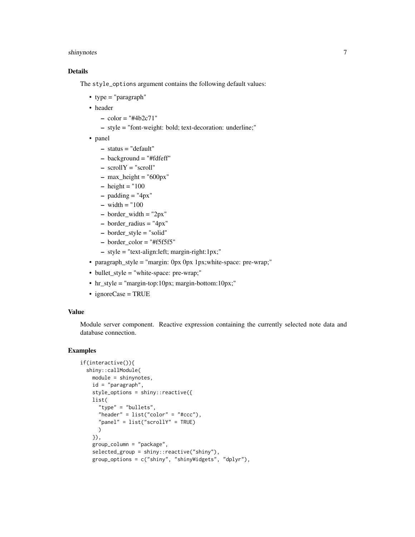#### shinynotes 7

#### Details

The style\_options argument contains the following default values:

- type = "paragraph"
- header
	- $-$  color = "#4b2c71"
	- style = "font-weight: bold; text-decoration: underline;"
- panel
	- status = "default"
	- $-$  background  $=$  "#fdfeff"
	- scrollY = "scroll"
	- $-$  max\_height = "600px"
	- $-$  height = "100
	- $-$  padding  $=$  "4px"
	- $-$  width  $=$  "100
	- $-$  border\_width = "2px"
	- border\_radius = "4px"
	- border\_style = "solid"
	- $-$  border\_color = "#f5f5f5"
	- style = "text-align:left; margin-right:1px;"
- paragraph\_style = "margin: 0px 0px 1px;white-space: pre-wrap;"
- bullet\_style = "white-space: pre-wrap;"
- hr\_style = "margin-top:10px; margin-bottom:10px;"
- ignoreCase = TRUE

#### Value

Module server component. Reactive expression containing the currently selected note data and database connection.

#### Examples

```
if(interactive()){
 shiny::callModule(
   module = shinynotes,
   id = "paragraph",
   style_options = shiny::reactive({
   list(
      "type" = "bullets",
     "header" = list("color" = "#ccc"),
      "panel" = list("scrollY" = TRUE)
     )
   }),
   group_column = "package",
    selected_group = shiny::reactive("shiny"),
   group_options = c("shiny", "shinyWidgets", "dplyr"),
```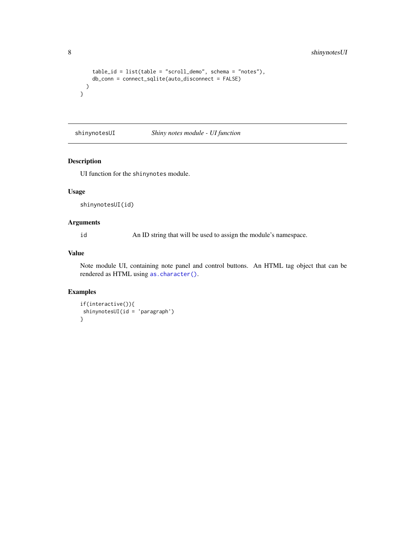```
table_id = list(table = "scroll_demo", schema = "notes"),
   db_conn = connect_sqlite(auto_disconnect = FALSE)
 )
}
```
shinynotesUI *Shiny notes module - UI function*

#### Description

UI function for the shinynotes module.

#### Usage

shinynotesUI(id)

#### Arguments

id An ID string that will be used to assign the module's namespace.

#### Value

Note module UI, containing note panel and control buttons. An HTML tag object that can be rendered as HTML using [as.character\(\)](#page-0-0).

#### Examples

```
if(interactive()){
shinynotesUI(id = 'paragraph')
}
```
<span id="page-7-0"></span>